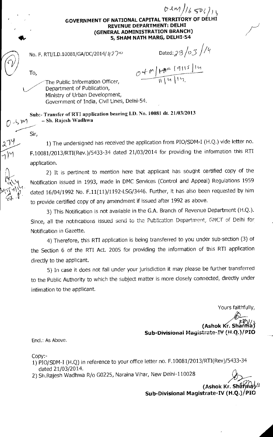$(BMN)/(6506)$ **GOVERNMENT OF NATIONAL CAPITAL TERRITOR REVENUE DEPARTMENT: DELHI (GENERAL ADMINISTRATION BRANCH) 5, SHAM NATH MARG, DELHI-54** 

No. F. RTI/I.D.10081/GA/DC/2014/  $\mathit{427} \circ$  Dated: 23 /03 /14

To,

 $\bullet$ 

 $odm$ <sup>+</sup> /1

The Public Information Officer, Department of Publication, Ministry of Urban Development, Government of India, Civil Lines, Delhi-54.

Sub:- Transfer of RTI application bearing I.D. No. 10081 dt. 21/03/2013 - Sh. Rajesh Wadhwa

Sir,

14

 $\mu$ 

1) The undersigned has received the application from PIO/SDM-I (H.Q.) vide letter no. F.10081/2013/RTI(Rev.)/5433-34 dated 21/03/2014 for providing the information this RTI application.

2) It is pertinent to mention here that applicant has sought certified copy of the Notification issued in 1993, made in DMC Services (Control and Appeal) Regulations 1959 dated 16/04/1992 No. F.11(11)/1192-LSG/3446. Further, it has also been requested by him to provide certified copy of any amendment if issued after 1992 as above.

3) This Notification is not available in the G.A. Branch of Revenue Department (H.Q.). Since, all the notifications issued send to the Publication Department, GNCT of Delhi for Notification in Gazette.

4) Therefore, this RTI application is being transferred to you under sub-section (3) of the Section 6 of the RTI Act. 2005 for providing the information of this RTI application directly to the applicant.

5) In case it does not fall under your jurisdiction it may please be further transferred to the Public Authority to which the subject matter is more closely connected, directly under intimation to the applicant.

Yours faithfully,

**(Ashok Kr. Sh:144i Sub-Divisional Magistrate-IV (H.0.1/PIO** 

End.: As Above.

Copy:-

- 1) PIO/SDM-I (H.Q) in reference to your office letter no. F.10081/2013/RTI(Rev)/5433-34 dated 21/03/2014.
- 2) Sh.Rajesh Wadhwa R/o G0225, Naraina Vihar, New Delhi-110028

**(Ashok Kr. Sl** 

**Sub-Divisional Magistrate-IV (H.Q.)**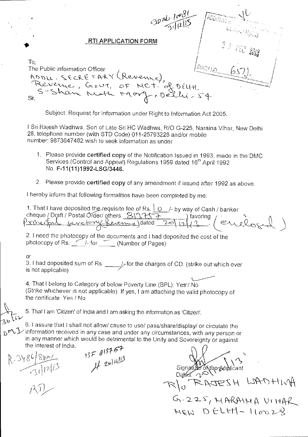|                                               | $\cosh\frac{1}{18}$                                                                        | $AB\tilde{o}_{\mathcal{U}/\mathcal{U}_{\mathcal{C}}}.$ |
|-----------------------------------------------|--------------------------------------------------------------------------------------------|--------------------------------------------------------|
|                                               | <b>RTI APPLICATION FORM</b>                                                                | $\sim$ 2 3 DEC 2013                                    |
| To,<br>The Public information Officer<br>Sir, | ADDU. SECRETARY (Revenue),<br>Revenue, Gout, OF MCT. of DELH!<br>S-Shan Noth Mory, Delly-S |                                                        |

Subject: Request for Information under Right to Information Act 2005.

i Sri Rajesh Wadhwa, Son of Late Sri HC Wadhwa, RIO G-225, Naraina Vihar, New Delhi 28, telephone number (with STD Code) 011-25793228 and/or mobile number: 9873647482 wish to seek information as under

- 1. Please provide certified copy of the Notification Issued in 1993, made in the DMC Services (Control and Appeal) Regulations 1959 dated 16<sup>th</sup> April 1992 No. F-11(11)1992-LSG/3446.
- 2. Please provide certified copy of any amendment if issued after 1992 as above.

I hereby inform that following formalities have been completed by me:

1. That I have deposited the requisite fee of Rs.  $\sqrt{0}$  /- by way of Cash / banker cheque / Draft / Postal Order/ others SYVIST.  $\frac{1157+1}{20112/3}$  tavoring  $(212)$ 

2. I need the photocopy of the documents and I had deposited the cost of the photocopy of Rs. <u>(2006)</u> or the december of and child a photocopy of Rs.

or

3. I had deposited sum of Rs.  $\frac{1}{2}$ -for the charges of CD. (strike out which ever is not applicable)

4. That I belong to Category of below Poverty Line (BPL): Yes-/ No (Strike whichever is not applicable). If yes, I am attaching the valid photocopy of the certificate. Yes / No

5. That I am 'Citizen' of India and I am asking the information as 'Citizen'.

6. I assure that I shall not allow/ cause to use/ pass/share/display/ or circulate the  $\mathcal{Y}$  information received in any case and under any circumstances, with any person or in any manner which would be detrimental to the Unity and Sovereignty or against the Interest of India.  $13757$ <br>If 2014<sup>113</sup>

R-3486/80ml

Signatule of the Applicant Dε  $R\Big|_0$  RAJESH LAD. C3,- 1.4protA c,\ lir&  $G - 225, HARMMA V114AC$ <br> $HERD ELHT - 1100228$